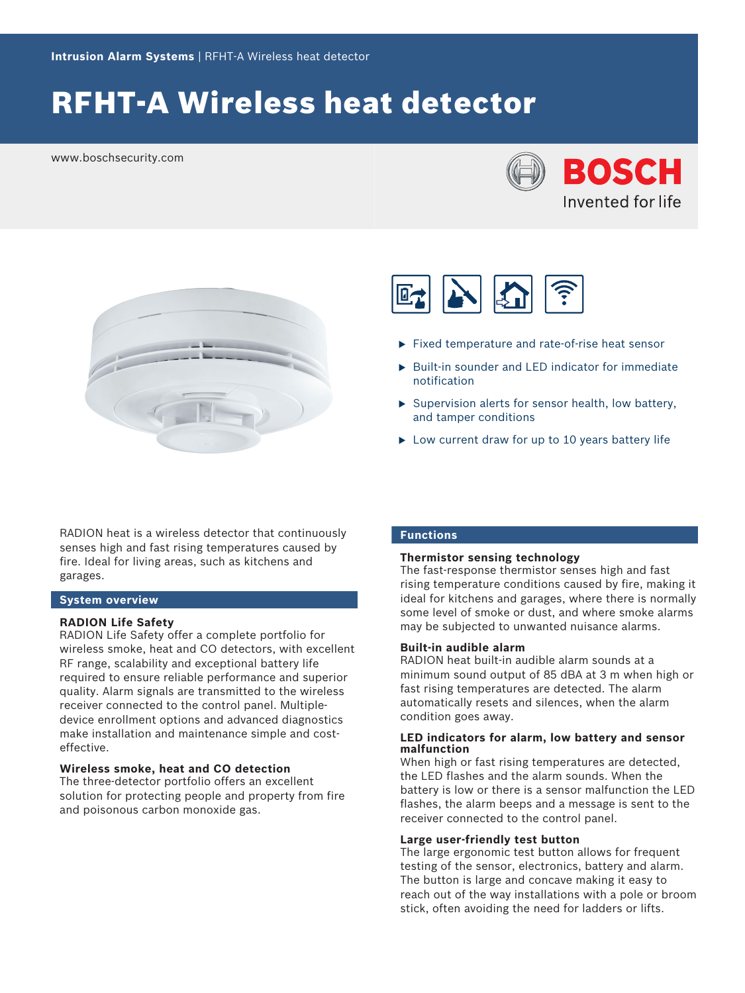# RFHT-A Wireless heat detector

www.boschsecurity.com





RADION heat is a wireless detector that continuously senses high and fast rising temperatures caused by fire. Ideal for living areas, such as kitchens and garages.

#### **System overview**

#### **RADION Life Safety**

RADION Life Safety offer a complete portfolio for wireless smoke, heat and CO detectors, with excellent RF range, scalability and exceptional battery life required to ensure reliable performance and superior quality. Alarm signals are transmitted to the wireless receiver connected to the control panel. Multipledevice enrollment options and advanced diagnostics make installation and maintenance simple and costeffective.

#### **Wireless smoke, heat and CO detection**

The three-detector portfolio offers an excellent solution for protecting people and property from fire and poisonous carbon monoxide gas.



- $\blacktriangleright$  Fixed temperature and rate-of-rise heat sensor
- $\triangleright$  Built-in sounder and LED indicator for immediate notification
- $\triangleright$  Supervision alerts for sensor health, low battery, and tamper conditions
- $\triangleright$  Low current draw for up to 10 years battery life

#### **Functions**

#### **Thermistor sensing technology**

The fast-response thermistor senses high and fast rising temperature conditions caused by fire, making it ideal for kitchens and garages, where there is normally some level of smoke or dust, and where smoke alarms may be subjected to unwanted nuisance alarms.

#### **Built-in audible alarm**

RADION heat built-in audible alarm sounds at a minimum sound output of 85 dBA at 3 m when high or fast rising temperatures are detected. The alarm automatically resets and silences, when the alarm condition goes away.

#### **LED indicators for alarm, low battery and sensor malfunction**

When high or fast rising temperatures are detected, the LED flashes and the alarm sounds. When the battery is low or there is a sensor malfunction the LED flashes, the alarm beeps and a message is sent to the receiver connected to the control panel.

#### **Large user-friendly test button**

The large ergonomic test button allows for frequent testing of the sensor, electronics, battery and alarm. The button is large and concave making it easy to reach out of the way installations with a pole or broom stick, often avoiding the need for ladders or lifts.